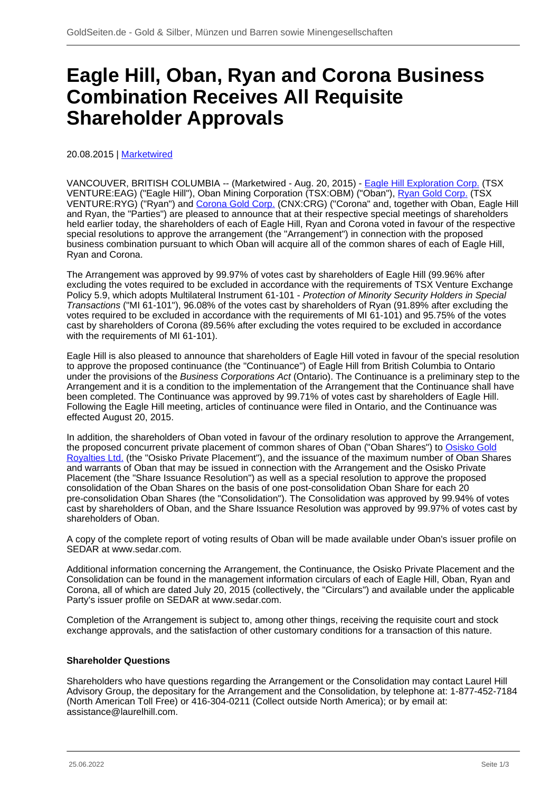# **Eagle Hill, Oban, Ryan and Corona Business Combination Receives All Requisite Shareholder Approvals**

20.08.2015 | [Marketwired](/profil/226--Marketwired)

VANCOUVER, BRITISH COLUMBIA -- (Marketwired - Aug. 20, 2015) - [Eagle Hill Exploration Corp.](/minen/1632--Eagle-Hill-Exploration-Corp) (TSX VENTURE:EAG) ("Eagle Hill"), Oban Mining Corporation (TSX:OBM) ("Oban"), [Ryan Gold Corp.](/minen/2082--Ryan-Gold-Corp) (TSX VENTURE:RYG) ("Ryan") and [Corona Gold Corp.](/minen/2411--Corona-Gold-Corp) (CNX:CRG) ("Corona" and, together with Oban, Eagle Hill and Ryan, the "Parties") are pleased to announce that at their respective special meetings of shareholders held earlier today, the shareholders of each of Eagle Hill, Ryan and Corona voted in favour of the respective special resolutions to approve the arrangement (the "Arrangement") in connection with the proposed business combination pursuant to which Oban will acquire all of the common shares of each of Eagle Hill, Ryan and Corona.

The Arrangement was approved by 99.97% of votes cast by shareholders of Eagle Hill (99.96% after excluding the votes required to be excluded in accordance with the requirements of TSX Venture Exchange Policy 5.9, which adopts Multilateral Instrument 61-101 - Protection of Minority Security Holders in Special Transactions ("MI 61-101"), 96.08% of the votes cast by shareholders of Ryan (91.89% after excluding the votes required to be excluded in accordance with the requirements of MI 61-101) and 95.75% of the votes cast by shareholders of Corona (89.56% after excluding the votes required to be excluded in accordance with the requirements of MI 61-101).

Eagle Hill is also pleased to announce that shareholders of Eagle Hill voted in favour of the special resolution to approve the proposed continuance (the "Continuance") of Eagle Hill from British Columbia to Ontario under the provisions of the Business Corporations Act (Ontario). The Continuance is a preliminary step to the Arrangement and it is a condition to the implementation of the Arrangement that the Continuance shall have been completed. The Continuance was approved by 99.71% of votes cast by shareholders of Eagle Hill. Following the Eagle Hill meeting, articles of continuance were filed in Ontario, and the Continuance was effected August 20, 2015.

In addition, the shareholders of Oban voted in favour of the ordinary resolution to approve the Arrangement, the proposed concurrent private placement of common shares of Oban ("Oban Shares") to [Osisko Gold](/minen/2929--Osisko-Gold-Royalties-Ltd) [Royalties Ltd.](/minen/2929--Osisko-Gold-Royalties-Ltd) (the "Osisko Private Placement"), and the issuance of the maximum number of Oban Shares and warrants of Oban that may be issued in connection with the Arrangement and the Osisko Private Placement (the "Share Issuance Resolution") as well as a special resolution to approve the proposed consolidation of the Oban Shares on the basis of one post-consolidation Oban Share for each 20 pre-consolidation Oban Shares (the "Consolidation"). The Consolidation was approved by 99.94% of votes cast by shareholders of Oban, and the Share Issuance Resolution was approved by 99.97% of votes cast by shareholders of Oban.

A copy of the complete report of voting results of Oban will be made available under Oban's issuer profile on SEDAR at www.sedar.com.

Additional information concerning the Arrangement, the Continuance, the Osisko Private Placement and the Consolidation can be found in the management information circulars of each of Eagle Hill, Oban, Ryan and Corona, all of which are dated July 20, 2015 (collectively, the "Circulars") and available under the applicable Party's issuer profile on SEDAR at www.sedar.com.

Completion of the Arrangement is subject to, among other things, receiving the requisite court and stock exchange approvals, and the satisfaction of other customary conditions for a transaction of this nature.

### **Shareholder Questions**

Shareholders who have questions regarding the Arrangement or the Consolidation may contact Laurel Hill Advisory Group, the depositary for the Arrangement and the Consolidation, by telephone at: 1-877-452-7184 (North American Toll Free) or 416-304-0211 (Collect outside North America); or by email at: assistance@laurelhill.com.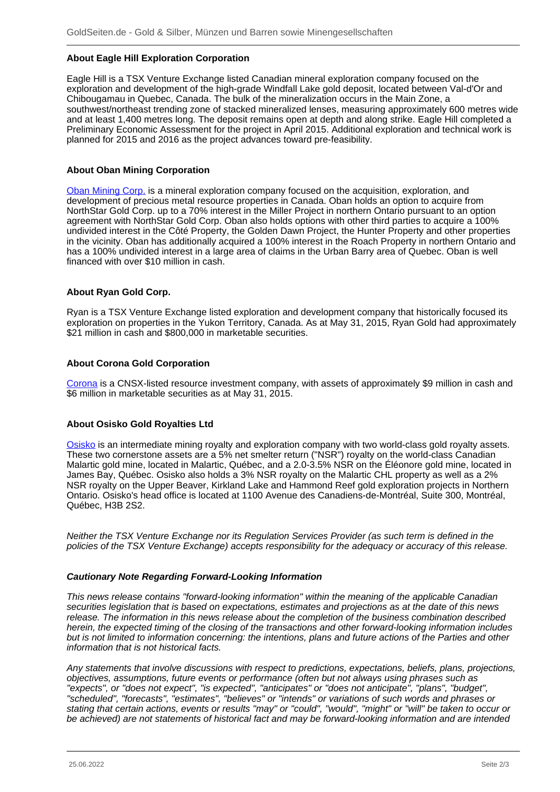## **About Eagle Hill Exploration Corporation**

Eagle Hill is a TSX Venture Exchange listed Canadian mineral exploration company focused on the exploration and development of the high-grade Windfall Lake gold deposit, located between Val-d'Or and Chibougamau in Quebec, Canada. The bulk of the mineralization occurs in the Main Zone, a southwest/northeast trending zone of stacked mineralized lenses, measuring approximately 600 metres wide and at least 1,400 metres long. The deposit remains open at depth and along strike. Eagle Hill completed a Preliminary Economic Assessment for the project in April 2015. Additional exploration and technical work is planned for 2015 and 2016 as the project advances toward pre-feasibility.

### **About Oban Mining Corporation**

[Oban Mining Corp.](/minen/2876--Osisko-Mining-Inc) is a mineral exploration company focused on the acquisition, exploration, and development of precious metal resource properties in Canada. Oban holds an option to acquire from NorthStar Gold Corp. up to a 70% interest in the Miller Project in northern Ontario pursuant to an option agreement with NorthStar Gold Corp. Oban also holds options with other third parties to acquire a 100% undivided interest in the Côté Property, the Golden Dawn Project, the Hunter Property and other properties in the vicinity. Oban has additionally acquired a 100% interest in the Roach Property in northern Ontario and has a 100% undivided interest in a large area of claims in the Urban Barry area of Quebec. Oban is well financed with over \$10 million in cash.

### **About Ryan Gold Corp.**

Ryan is a TSX Venture Exchange listed exploration and development company that historically focused its exploration on properties in the Yukon Territory, Canada. As at May 31, 2015, Ryan Gold had approximately \$21 million in cash and \$800,000 in marketable securities.

### **About Corona Gold Corporation**

[Corona](/minen/2411--Corona-Gold-Corp) is a CNSX-listed resource investment company, with assets of approximately \$9 million in cash and \$6 million in marketable securities as at May 31, 2015.

# **About Osisko Gold Royalties Ltd**

[Osisko](/minen/2929--Osisko-Gold-Royalties-Ltd) is an intermediate mining royalty and exploration company with two world-class gold royalty assets. These two cornerstone assets are a 5% net smelter return ("NSR") royalty on the world-class Canadian Malartic gold mine, located in Malartic, Québec, and a 2.0-3.5% NSR on the Éléonore gold mine, located in James Bay, Québec. Osisko also holds a 3% NSR royalty on the Malartic CHL property as well as a 2% NSR royalty on the Upper Beaver, Kirkland Lake and Hammond Reef gold exploration projects in Northern Ontario. Osisko's head office is located at 1100 Avenue des Canadiens-de-Montréal, Suite 300, Montréal, Québec, H3B 2S2.

Neither the TSX Venture Exchange nor its Regulation Services Provider (as such term is defined in the policies of the TSX Venture Exchange) accepts responsibility for the adequacy or accuracy of this release.

### **Cautionary Note Regarding Forward-Looking Information**

This news release contains "forward-looking information" within the meaning of the applicable Canadian securities legislation that is based on expectations, estimates and projections as at the date of this news release. The information in this news release about the completion of the business combination described herein, the expected timing of the closing of the transactions and other forward-looking information includes but is not limited to information concerning: the intentions, plans and future actions of the Parties and other information that is not historical facts.

Any statements that involve discussions with respect to predictions, expectations, beliefs, plans, projections, objectives, assumptions, future events or performance (often but not always using phrases such as "expects", or "does not expect", "is expected", "anticipates" or "does not anticipate", "plans", "budget", "scheduled", "forecasts", "estimates", "believes" or "intends" or variations of such words and phrases or stating that certain actions, events or results "may" or "could", "would", "might" or "will" be taken to occur or be achieved) are not statements of historical fact and may be forward-looking information and are intended